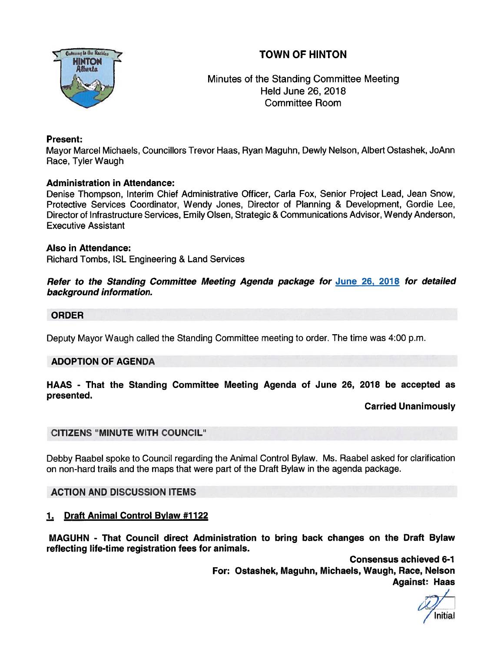# TOWN OF HINTON



Minutes of the Standing Committee Meeting Held June 26, 2018 Committee Room

## Present:

Mayor Marcel Michaels, Councillors Trevor Haas, Ryan Maguhn, Dewly Nelson, Albert Ostashek, JoAnn Race, Tyler Waugh

# Administration in Attendance:

Denise Thompson, Interim Chief Administrative Officer, Carla Fox, Senior Project Lead, Jean Snow, Protective Services Coordinator, Wendy Jones, Director of Planning & Development, Gordie Lee, Director of Infrastructure Services, Emily Olsen, Strategic & Communications Advisor, Wendy Anderson, Executive Assistant

#### Also in Attendance:

Richard Tombs, ISL Engineering & Land Services

#### Refer to the Standing Committee Meeting Agenda package for June 26, 2018 for detailed background information.

#### ORDER

Deputy Mayor Waugh called the Standing Committee meeting to order. The time was 4:00 p.m.

#### ADOPTION OF AGENDA

### HAAS - That the Standing Committee Meeting Agenda of June 26, 2018 be accepted as presented.

#### Carried Unanimously

# CITIZENS "MINUTE WITH COUNCIL"

Debby Raabel spoke to Council regarding the Animal Control Bylaw. Ms. Raabel asked for clarification on non-hard trails and the maps that were par<sup>t</sup> of the Draft Bylaw in the agenda package.

# ACTION AND DISCUSSION ITEMS

# 1. Draft Animal Control Bylaw #1122

MAGUHN - That Council direct Administration to bring back changes on the Draft Bylaw reflecting life-time registration fees for animals.

> Consensus achieved 6-1 For: Ostashek, Maguhn, Michaels, Waugh, Race, Nelson Against: Haas

/ Initial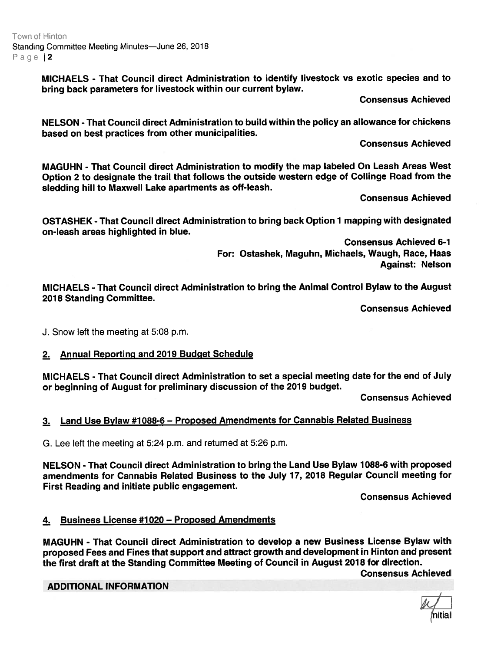MICHAELS - That Council direct Administration to identify livestock vs exotic species and to bring back parameters for livestock within our current bylaw.

Consensus Achieved

NELSON - That Council direct Administration to build within the policy an allowance for chickens based on best practices from other municipalities.

Consensus Achieved

MAGUHN - That Council direct Administration to modify the map labeled On Leash Areas West Option <sup>2</sup> to designate the trail that follows the outside western edge of Collinge Road from the sledding hill to Maxwell Lake apartments as off-leash.

Consensus Achieved

OSTASHEK -That Council direct Administration to bring back Option <sup>1</sup> mapping with designated on-leash areas highlighted in blue.

> Consensus Achieved 6-1 For: Ostashek, Maguhn, Michaels, Waugh, Race, Haas Against: Nelson

MICHAELS - That Council direct Administration to bring the Animal Control Bylaw to the August 2018 Standing Committee.

Consensus Achieved

J. Snow left the meeting at 5:08 p.m.

# 2. Annual Reporting and 2019 Budget Schedule

MICHAELS - That Council direct Administration to set <sup>a</sup> special meeting date for the end of July or beginning of August for preliminary discussion of the 2019 budget.

Consensus Achieved

# 3. Land Use Bylaw #7088-6 — Proposed Amendments for Cannabis Related Business

G. Lee left the meeting at 5:24 p.m. and returned at 5:26 p.m.

NELSON - That Council direct Administration to bring the Land Use Bylaw 1088-6 with proposed amendments for Cannabis Related Business to the July 17, 2018 Regular Council meeting for First Reading and initiate public engagement.

Consensus Achieved

## 4. Business License #1020 - Proposed Amendments

MAGUHN - That Council direct Administration to develop <sup>a</sup> new Business License Bylaw with propose<sup>d</sup> Fees and Fines that suppor<sup>t</sup> and attract growth and development in Hinton and presen<sup>t</sup> the first draft at the Standing Committee Meeting of Council in August 2018 for direction.

Consensus Achieved

#### ADDITIONAL INFORMATION

(nitial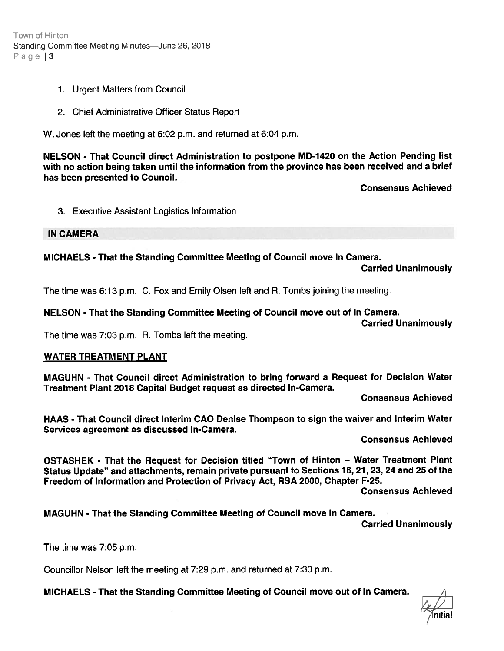Town of Hinton Standing Committee Meeting Minutes—June 26, 2018 Page 13

- 1. Urgent Matters from Council
- 2. Chief Administrative Officer Status Report

W. Jones left the meeting at 6:02 p.m. and returned at 6:04 p.m.

NELSON - That Council direct Administration to postpone MD-1420 on the Action Pending list with no action being taken until the information from the province has been received and <sup>a</sup> brief has been presented to Council.

Consensus Achieved

3. Executive Assistant Logistics Information

IN CAMERA

MICHAELS - That the Standing Committee Meeting of Council move In Camera.

Carried Unanimously

The time was 6:13 p.m. C. Fox and Emily Olsen left and R. Tombs joining the meeting.

# NELSON -That the Standing Committee Meeting of Council move out of In Camera.

Carried Unanimously

The time was 7:03 p.m. R. Tombs left the meeting.

# WATER TREATMENT PLANT

MAGUHN - That Council direct Administration to bring forward <sup>a</sup> Request for Decision Water Treatment Plant 2018 Capital Budget reques<sup>t</sup> as directed In-Camera.

Consensus Achieved

HAAS - That Council direct Interim CAO Denise Thompson to sign the waiver and Interim Water Services agreemen<sup>t</sup> as discussed In-Camera.

Consensus Achieved

OSTASHEK - That the Request for Decision titled "Town of Hinton — Water Treatment Plant Status Update" and attachments, remain private pursuan<sup>t</sup> to Sections 16, 21, 23, <sup>24</sup> and 25 of the Freedom of Information and Protection of Privacy Act, RSA 2000, Chapter F-25. Hindon<br>
1. Urgant Matters from Council<br>
2. Chief Administrative Officer Status Report<br>
2. Chief Administrative Officer Status Report<br>
NV. Joos-1910 Hyper and Fourier Meeting at 6:02 p.m. and returned at 6:04 p.m.<br>
NVELSON

Consensus Achieved

MAGUHN -That the Standing Committee Meeting of Council move In Camera.

Carried Unanimously

The time was 7:05 p.m.

Councillor Nelson left the meeting at 7:29 p.m. and returned at 7:30 p.m.